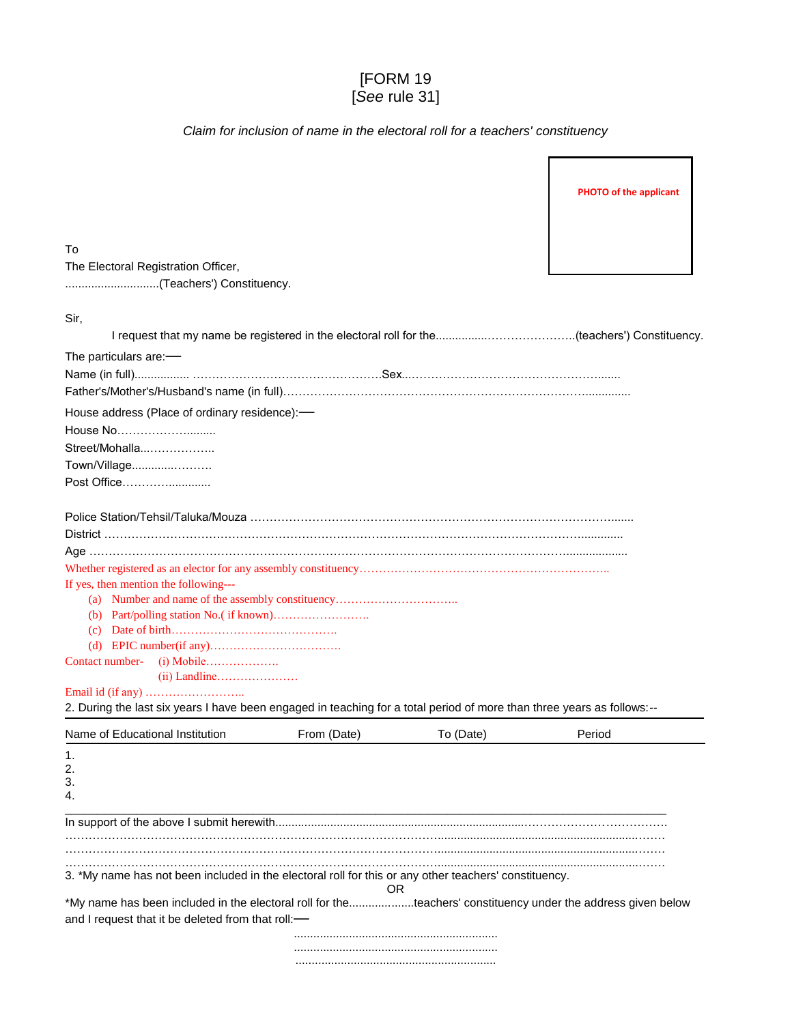## [FORM 19 [*See* rule 31]

## *Claim for inclusion of name in the electoral roll for a teachers' constituency*

4

|                                                                                                                                                                                                                                                                           |             |           | <b>PHOTO of the applicant</b> |
|---------------------------------------------------------------------------------------------------------------------------------------------------------------------------------------------------------------------------------------------------------------------------|-------------|-----------|-------------------------------|
| To<br>The Electoral Registration Officer,                                                                                                                                                                                                                                 |             |           |                               |
| Sir,                                                                                                                                                                                                                                                                      |             |           |                               |
| The particulars are:-                                                                                                                                                                                                                                                     |             |           |                               |
| House address (Place of ordinary residence):-<br>House No<br>Street/Mohalla                                                                                                                                                                                               |             |           |                               |
| Town/Village<br>Post Office                                                                                                                                                                                                                                               |             |           |                               |
| If yes, then mention the following---<br>(a) Number and name of the assembly constituency<br>Contact number-<br>2. During the last six years I have been engaged in teaching for a total period of more than three years as follows:--<br>Name of Educational Institution | From (Date) | To (Date) | Period                        |
| 1.<br>2.<br>3.<br>4.                                                                                                                                                                                                                                                      |             |           |                               |
|                                                                                                                                                                                                                                                                           |             |           |                               |
| 3. *My name has not been included in the electoral roll for this or any other teachers' constituency.<br>*My name has been included in the electoral roll for theteachers' constituency under the address given below                                                     |             | OR        |                               |
| and I request that it be deleted from that roll:-                                                                                                                                                                                                                         |             |           |                               |